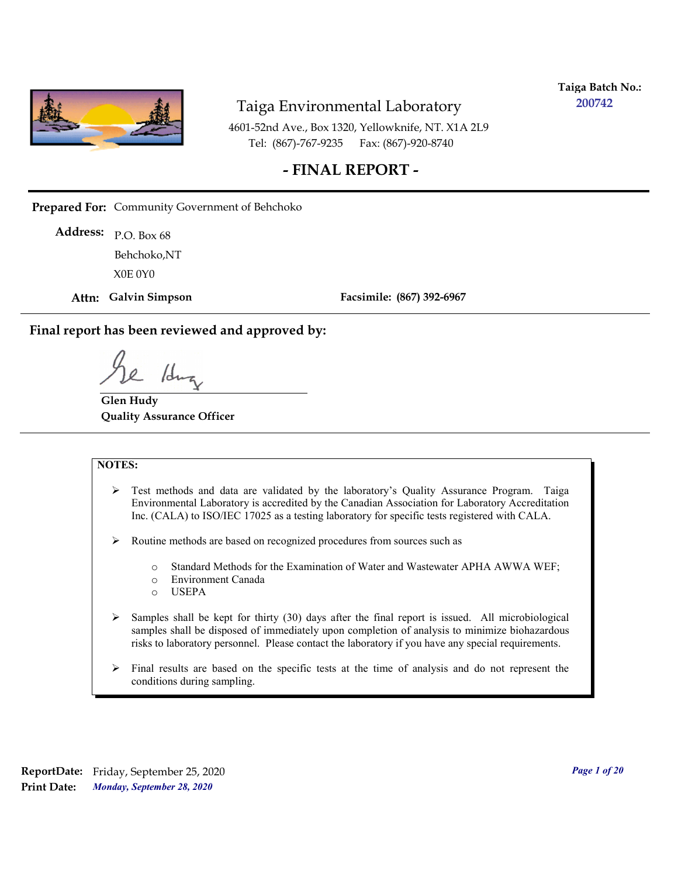

**Taiga Batch No.: 200742**

4601-52nd Ave., Box 1320, Yellowknife, NT. X1A 2L9 Tel: (867)-767-9235 Fax: (867)-920-8740

#### **- FINAL REPORT -**

**Prepared For:** Community Government of Behchoko

P.O. Box 68 **Address:** X0E 0Y0 Behchoko,NT

**Attn: Galvin Simpson**

**Facsimile: (867) 392-6967**

**Final report has been reviewed and approved by:**

/dr

**Glen Hudy Quality Assurance Officer**

#### **NOTES:**

- $\triangleright$  Test methods and data are validated by the laboratory's Quality Assurance Program. Taiga Environmental Laboratory is accredited by the Canadian Association for Laboratory Accreditation Inc. (CALA) to ISO/IEC 17025 as a testing laboratory for specific tests registered with CALA.
- Routine methods are based on recognized procedures from sources such as
	- o Standard Methods for the Examination of Water and Wastewater APHA AWWA WEF;
	- o Environment Canada
	- o USEPA
- $\triangleright$  Samples shall be kept for thirty (30) days after the final report is issued. All microbiological samples shall be disposed of immediately upon completion of analysis to minimize biohazardous risks to laboratory personnel. Please contact the laboratory if you have any special requirements.
- $\triangleright$  Final results are based on the specific tests at the time of analysis and do not represent the conditions during sampling.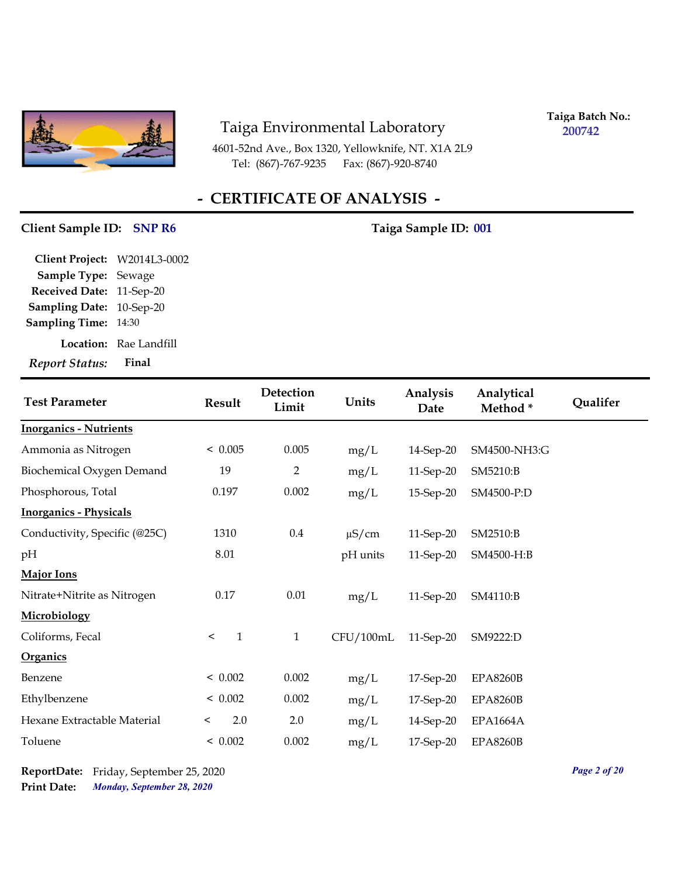

4601-52nd Ave., Box 1320, Yellowknife, NT. X1A 2L9 Tel: (867)-767-9235 Fax: (867)-920-8740

**Taiga Batch No.: 200742**

## **- CERTIFICATE OF ANALYSIS -**

#### Client Sample ID: SNP R6 Taiga Sample ID: 001

| Client Project: W2014L3-0002 |                        |
|------------------------------|------------------------|
| <b>Sample Type: Sewage</b>   |                        |
| Received Date: 11-Sep-20     |                        |
| Sampling Date: 10-Sep-20     |                        |
| <b>Sampling Time: 14:30</b>  |                        |
|                              | Location: Rae Landfill |
| <b>Report Status:</b>        | Final                  |
|                              |                        |

| <b>Test Parameter</b>         | Result                  | Detection<br>Limit | Units      | Analysis<br>Date | Analytical<br>Method* | Qualifer |
|-------------------------------|-------------------------|--------------------|------------|------------------|-----------------------|----------|
| <b>Inorganics - Nutrients</b> |                         |                    |            |                  |                       |          |
| Ammonia as Nitrogen           | < 0.005                 | 0.005              | mg/L       | 14-Sep-20        | SM4500-NH3:G          |          |
| Biochemical Oxygen Demand     | 19                      | $\overline{2}$     | mg/L       | 11-Sep-20        | SM5210:B              |          |
| Phosphorous, Total            | 0.197                   | 0.002              | mg/L       | 15-Sep-20        | SM4500-P:D            |          |
| <b>Inorganics - Physicals</b> |                         |                    |            |                  |                       |          |
| Conductivity, Specific (@25C) | 1310                    | $0.4\,$            | $\mu$ S/cm | 11-Sep-20        | SM2510:B              |          |
| pH                            | 8.01                    |                    | pH units   | 11-Sep-20        | SM4500-H:B            |          |
| <b>Major Ions</b>             |                         |                    |            |                  |                       |          |
| Nitrate+Nitrite as Nitrogen   | 0.17                    | 0.01               | mg/L       | 11-Sep-20        | SM4110:B              |          |
| Microbiology                  |                         |                    |            |                  |                       |          |
| Coliforms, Fecal              | $\mathbf{1}$<br>$\prec$ | $\mathbf{1}$       | CFU/100mL  | 11-Sep-20        | SM9222:D              |          |
| Organics                      |                         |                    |            |                  |                       |          |
| Benzene                       | < 0.002                 | 0.002              | mg/L       | $17$ -Sep-20     | <b>EPA8260B</b>       |          |
| Ethylbenzene                  | < 0.002                 | 0.002              | mg/L       | 17-Sep-20        | <b>EPA8260B</b>       |          |
| Hexane Extractable Material   | 2.0<br>$\,<\,$          | 2.0                | mg/L       | 14-Sep-20        | <b>EPA1664A</b>       |          |
| Toluene                       | < 0.002                 | 0.002              | mg/L       | 17-Sep-20        | <b>EPA8260B</b>       |          |

*Monday, September 28, 2020* **Print Date: ReportDate:** Friday, September 25, 2020 *Page 2 of 20*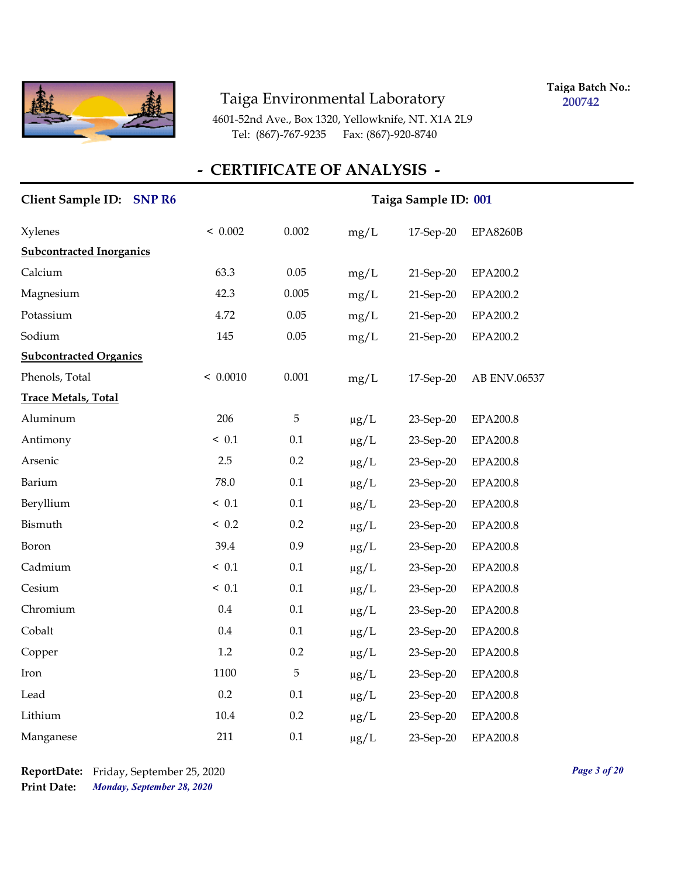

**Taiga Batch No.: 200742**

4601-52nd Ave., Box 1320, Yellowknife, NT. X1A 2L9 Tel: (867)-767-9235 Fax: (867)-920-8740

| <b>Client Sample ID:</b><br><b>SNP R6</b> | Taiga Sample ID: 001 |         |           |           |                 |
|-------------------------------------------|----------------------|---------|-----------|-----------|-----------------|
| <b>Xylenes</b>                            | < 0.002              | 0.002   | mg/L      | 17-Sep-20 | <b>EPA8260B</b> |
| <b>Subcontracted Inorganics</b>           |                      |         |           |           |                 |
| Calcium                                   | 63.3                 | 0.05    | mg/L      | 21-Sep-20 | EPA200.2        |
| Magnesium                                 | 42.3                 | 0.005   | mg/L      | 21-Sep-20 | EPA200.2        |
| Potassium                                 | 4.72                 | 0.05    | mg/L      | 21-Sep-20 | EPA200.2        |
| Sodium                                    | 145                  | 0.05    | mg/L      | 21-Sep-20 | EPA200.2        |
| <b>Subcontracted Organics</b>             |                      |         |           |           |                 |
| Phenols, Total                            | < 0.0010             | 0.001   | mg/L      | 17-Sep-20 | AB ENV.06537    |
| <b>Trace Metals, Total</b>                |                      |         |           |           |                 |
| Aluminum                                  | 206                  | 5       | $\mu g/L$ | 23-Sep-20 | EPA200.8        |
| Antimony                                  | ~< 0.1               | 0.1     | $\mu g/L$ | 23-Sep-20 | <b>EPA200.8</b> |
| Arsenic                                   | 2.5                  | 0.2     | $\mu$ g/L | 23-Sep-20 | <b>EPA200.8</b> |
| Barium                                    | 78.0                 | 0.1     | $\mu g/L$ | 23-Sep-20 | <b>EPA200.8</b> |
| Beryllium                                 | ~< 0.1               | 0.1     | $\mu g/L$ | 23-Sep-20 | EPA200.8        |
| Bismuth                                   | < 0.2                | 0.2     | $\mu g/L$ | 23-Sep-20 | EPA200.8        |
| Boron                                     | 39.4                 | 0.9     | $\mu g/L$ | 23-Sep-20 | <b>EPA200.8</b> |
| Cadmium                                   | ~< 0.1               | 0.1     | $\mu g/L$ | 23-Sep-20 | <b>EPA200.8</b> |
| Cesium                                    | ~< 0.1               | 0.1     | $\mu g/L$ | 23-Sep-20 | <b>EPA200.8</b> |
| Chromium                                  | 0.4                  | 0.1     | $\mu g/L$ | 23-Sep-20 | EPA200.8        |
| Cobalt                                    | 0.4                  | 0.1     | $\mu$ g/L | 23-Sep-20 | EPA200.8        |
| Copper                                    | 1.2                  | 0.2     | $\mu$ g/L | 23-Sep-20 | <b>EPA200.8</b> |
| Iron                                      | 1100                 | 5       | $\mu$ g/L | 23-Sep-20 | EPA200.8        |
| Lead                                      | 0.2                  | $0.1\,$ | $\mu$ g/L | 23-Sep-20 | <b>EPA200.8</b> |
| Lithium                                   | 10.4                 | 0.2     | $\mu g/L$ | 23-Sep-20 | <b>EPA200.8</b> |
| Manganese                                 | 211                  | 0.1     | $\mu$ g/L | 23-Sep-20 | <b>EPA200.8</b> |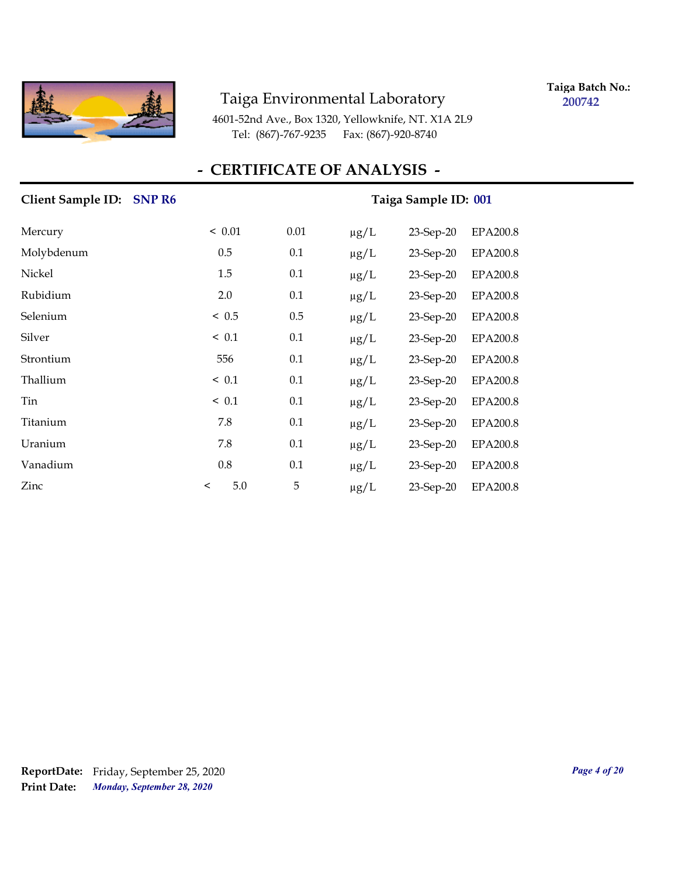

**Taiga Batch No.: 200742**

4601-52nd Ave., Box 1320, Yellowknife, NT. X1A 2L9 Tel: (867)-767-9235 Fax: (867)-920-8740

### **- CERTIFICATE OF ANALYSIS -**

#### Taiga Sample ID: 001

| Mercury    | < 0.01         | 0.01 | $\mu$ g/L | 23-Sep-20    | <b>EPA200.8</b> |
|------------|----------------|------|-----------|--------------|-----------------|
| Molybdenum | 0.5            | 0.1  | $\mu$ g/L | 23-Sep-20    | <b>EPA200.8</b> |
| Nickel     | 1.5            | 0.1  | $\mu g/L$ | 23-Sep-20    | <b>EPA200.8</b> |
| Rubidium   | 2.0            | 0.1  | $\mu$ g/L | $23$ -Sep-20 | <b>EPA200.8</b> |
| Selenium   | ~< 0.5         | 0.5  | $\mu$ g/L | $23$ -Sep-20 | <b>EPA200.8</b> |
| Silver     | $\leq 0.1$     | 0.1  | $\mu g/L$ | 23-Sep-20    | <b>EPA200.8</b> |
| Strontium  | 556            | 0.1  | $\mu g/L$ | 23-Sep-20    | <b>EPA200.8</b> |
| Thallium   | ~< 0.1         | 0.1  | $\mu$ g/L | 23-Sep-20    | <b>EPA200.8</b> |
| Tin        | $\leq 0.1$     | 0.1  | $\mu g/L$ | $23$ -Sep-20 | <b>EPA200.8</b> |
| Titanium   | 7.8            | 0.1  | $\mu$ g/L | $23$ -Sep-20 | <b>EPA200.8</b> |
| Uranium    | 7.8            | 0.1  | $\mu g/L$ | 23-Sep-20    | <b>EPA200.8</b> |
| Vanadium   | 0.8            | 0.1  | $\mu g/L$ | 23-Sep-20    | <b>EPA200.8</b> |
| Zinc       | 5.0<br>$\,<\,$ | 5    | $\mu$ g/L | 23-Sep-20    | <b>EPA200.8</b> |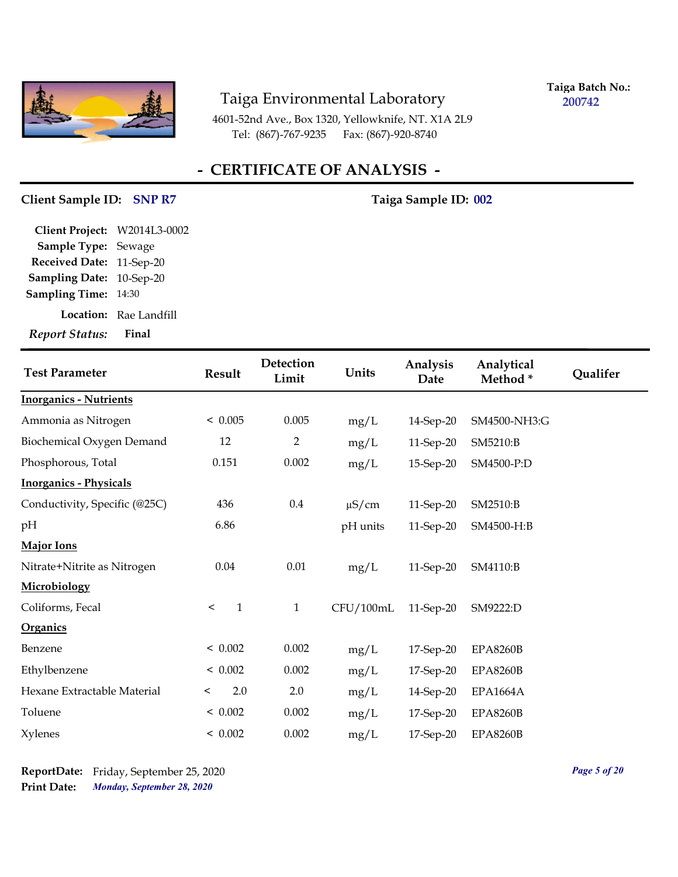

**Taiga Batch No.: 200742**

4601-52nd Ave., Box 1320, Yellowknife, NT. X1A 2L9 Tel: (867)-767-9235 Fax: (867)-920-8740

## **- CERTIFICATE OF ANALYSIS -**

#### Client Sample ID: SNP R7 Taiga Sample ID: 002

| <b>Report Status:</b>        | Final                         |
|------------------------------|-------------------------------|
|                              | <b>Location:</b> Rae Landfill |
| <b>Sampling Time: 14:30</b>  |                               |
| Sampling Date: 10-Sep-20     |                               |
| Received Date: 11-Sep-20     |                               |
| Sample Type: Sewage          |                               |
| Client Project: W2014L3-0002 |                               |

| <b>Test Parameter</b>         | Result                  | Detection<br>Limit | Units      | Analysis<br>Date | Analytical<br>Method* | Qualifer |
|-------------------------------|-------------------------|--------------------|------------|------------------|-----------------------|----------|
| <b>Inorganics - Nutrients</b> |                         |                    |            |                  |                       |          |
| Ammonia as Nitrogen           | < 0.005                 | 0.005              | mg/L       | 14-Sep-20        | SM4500-NH3:G          |          |
| Biochemical Oxygen Demand     | 12                      | $\overline{2}$     | mg/L       | 11-Sep-20        | SM5210:B              |          |
| Phosphorous, Total            | 0.151                   | 0.002              | mg/L       | 15-Sep-20        | SM4500-P:D            |          |
| <b>Inorganics - Physicals</b> |                         |                    |            |                  |                       |          |
| Conductivity, Specific (@25C) | 436                     | $0.4\,$            | $\mu$ S/cm | 11-Sep-20        | SM2510:B              |          |
| pH                            | 6.86                    |                    | pH units   | 11-Sep-20        | SM4500-H:B            |          |
| <b>Major Ions</b>             |                         |                    |            |                  |                       |          |
| Nitrate+Nitrite as Nitrogen   | 0.04                    | $0.01\,$           | mg/L       | 11-Sep-20        | SM4110:B              |          |
| Microbiology                  |                         |                    |            |                  |                       |          |
| Coliforms, Fecal              | $\mathbf{1}$<br>$\,<\,$ | $\mathbf{1}$       | CFU/100mL  | 11-Sep-20        | SM9222:D              |          |
| Organics                      |                         |                    |            |                  |                       |          |
| Benzene                       | < 0.002                 | 0.002              | mg/L       | 17-Sep-20        | <b>EPA8260B</b>       |          |
| Ethylbenzene                  | < 0.002                 | 0.002              | mg/L       | 17-Sep-20        | <b>EPA8260B</b>       |          |
| Hexane Extractable Material   | 2.0<br>$\,<\,$          | 2.0                | mg/L       | 14-Sep-20        | <b>EPA1664A</b>       |          |
| Toluene                       | < 0.002                 | 0.002              | mg/L       | 17-Sep-20        | <b>EPA8260B</b>       |          |
| <b>Xylenes</b>                | < 0.002                 | 0.002              | mg/L       | 17-Sep-20        | <b>EPA8260B</b>       |          |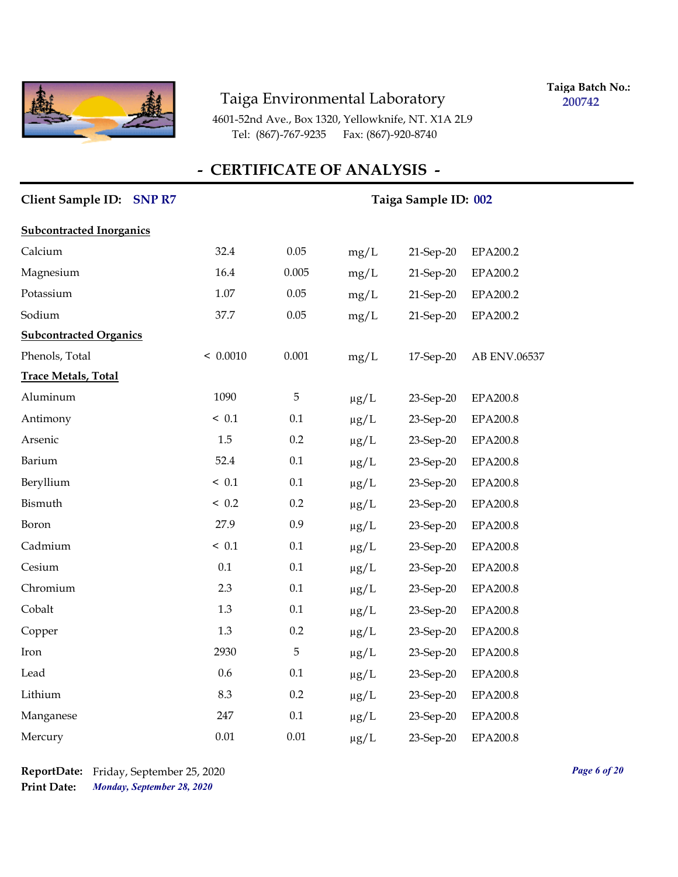

**Taiga Batch No.: 200742**

4601-52nd Ave., Box 1320, Yellowknife, NT. X1A 2L9 Tel: (867)-767-9235 Fax: (867)-920-8740

| Client Sample ID: SNP R7        | Taiga Sample ID: 002 |       |           |           |                 |
|---------------------------------|----------------------|-------|-----------|-----------|-----------------|
| <b>Subcontracted Inorganics</b> |                      |       |           |           |                 |
| Calcium                         | 32.4                 | 0.05  | mg/L      | 21-Sep-20 | EPA200.2        |
| Magnesium                       | 16.4                 | 0.005 | mg/L      | 21-Sep-20 | EPA200.2        |
| Potassium                       | 1.07                 | 0.05  | mg/L      | 21-Sep-20 | EPA200.2        |
| Sodium                          | 37.7                 | 0.05  | mg/L      | 21-Sep-20 | EPA200.2        |
| <b>Subcontracted Organics</b>   |                      |       |           |           |                 |
| Phenols, Total                  | < 0.0010             | 0.001 | mg/L      | 17-Sep-20 | AB ENV.06537    |
| <b>Trace Metals, Total</b>      |                      |       |           |           |                 |
| Aluminum                        | 1090                 | 5     | $\mu g/L$ | 23-Sep-20 | EPA200.8        |
| Antimony                        | ~< 0.1               | 0.1   | $\mu g/L$ | 23-Sep-20 | <b>EPA200.8</b> |
| Arsenic                         | 1.5                  | 0.2   | $\mu g/L$ | 23-Sep-20 | EPA200.8        |
| Barium                          | 52.4                 | 0.1   | $\mu g/L$ | 23-Sep-20 | EPA200.8        |
| Beryllium                       | ~< 0.1               | 0.1   | $\mu g/L$ | 23-Sep-20 | EPA200.8        |
| Bismuth                         | ~< 0.2               | 0.2   | $\mu g/L$ | 23-Sep-20 | EPA200.8        |
| Boron                           | 27.9                 | 0.9   | $\mu g/L$ | 23-Sep-20 | EPA200.8        |
| Cadmium                         | ~< 0.1               | 0.1   | $\mu g/L$ | 23-Sep-20 | <b>EPA200.8</b> |
| Cesium                          | 0.1                  | 0.1   | $\mu g/L$ | 23-Sep-20 | EPA200.8        |
| Chromium                        | 2.3                  | 0.1   | $\mu g/L$ | 23-Sep-20 | <b>EPA200.8</b> |
| Cobalt                          | 1.3                  | 0.1   | $\mu$ g/L | 23-Sep-20 | EPA200.8        |
| Copper                          | 1.3                  | 0.2   | $\mu g/L$ | 23-Sep-20 | EPA200.8        |
| Iron                            | 2930                 | 5     | $\mu g/L$ | 23-Sep-20 | EPA200.8        |
| Lead                            | 0.6                  | 0.1   | $\mu$ g/L | 23-Sep-20 | <b>EPA200.8</b> |
| Lithium                         | 8.3                  | 0.2   | $\mu g/L$ | 23-Sep-20 | <b>EPA200.8</b> |
| Manganese                       | 247                  | 0.1   | $\mu g/L$ | 23-Sep-20 | EPA200.8        |
| Mercury                         | 0.01                 | 0.01  | $\mu$ g/L | 23-Sep-20 | <b>EPA200.8</b> |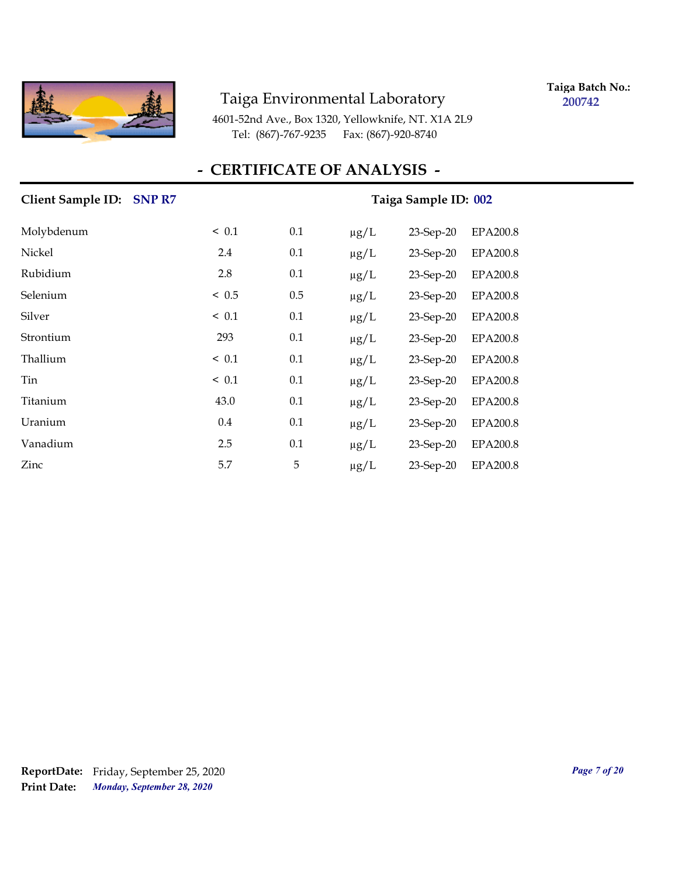

**Taiga Batch No.: 200742**

4601-52nd Ave., Box 1320, Yellowknife, NT. X1A 2L9 Tel: (867)-767-9235 Fax: (867)-920-8740

#### **- CERTIFICATE OF ANALYSIS -**

# **Client Sample ID: SNP R7** Taiga Sample ID: 002 Molybdenum < 0.1 0.1 μg/L 23-Sep-20 EPA200.8 Nickel 2.4 0.1 µg/L 23-Sep-20 EPA200.8 Rubidium 2.8 0.1 µg/L 23-Sep-20 EPA200.8 Selenium < 0.5 0.5 µg/L 23-Sep-20 EPA200.8 Silver < 0.1 0.1 µg/L 23-Sep-20 EPA200.8 Strontium 293 0.1 µg/L 23-Sep-20 EPA200.8 Thallium < 0.1 0.1  $\mu$ g/L 23-Sep-20 EPA200.8 Tin < 0.1 0.1 μg/L 23-Sep-20 EPA200.8 Titanium 43.0 0.1 μg/L 23-Sep-20 EPA200.8 Uranium 0.4 0.1 µg/L 23-Sep-20 EPA200.8 Vanadium 2.5 0.1 µg/L 23-Sep-20 EPA200.8 Zinc 5.7 5 µg/L 23-Sep-20 EPA200.8

*Monday, September 28, 2020* **Print Date: ReportDate:** Friday, September 25, 2020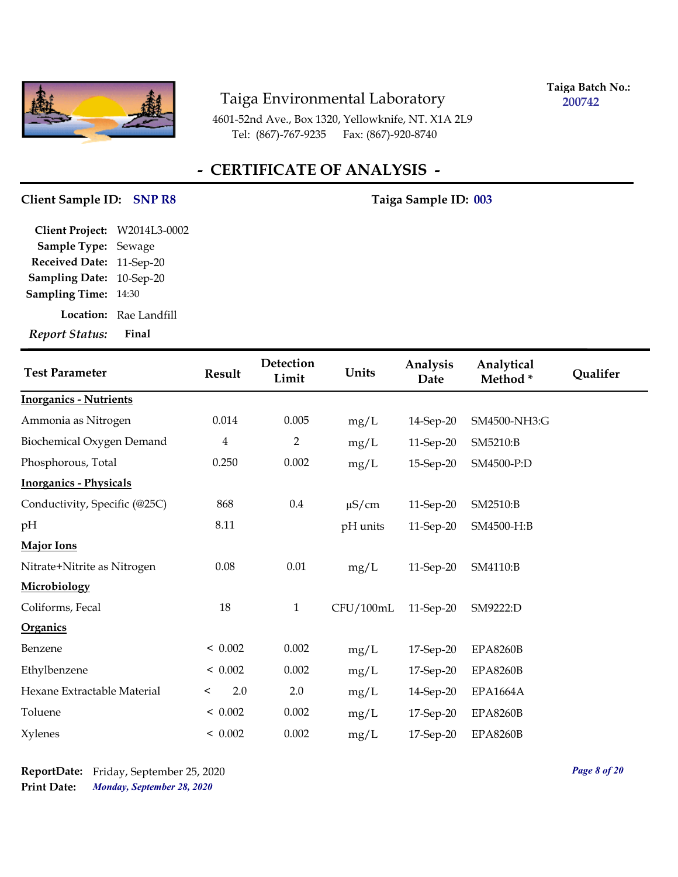

**Taiga Batch No.: 200742**

4601-52nd Ave., Box 1320, Yellowknife, NT. X1A 2L9 Tel: (867)-767-9235 Fax: (867)-920-8740

## **- CERTIFICATE OF ANALYSIS -**

# Client Sample ID: SNP R8 Taiga Sample ID: 003

| <b>Report Status:</b>        | Final                  |
|------------------------------|------------------------|
|                              | Location: Rae Landfill |
| <b>Sampling Time: 14:30</b>  |                        |
| Sampling Date: 10-Sep-20     |                        |
| Received Date: 11-Sep-20     |                        |
| Sample Type: Sewage          |                        |
| Client Project: W2014L3-0002 |                        |

| <b>Test Parameter</b>         | Result         | Detection<br>Limit | Units      | Analysis<br>Date | Analytical<br>Method* | Qualifer |
|-------------------------------|----------------|--------------------|------------|------------------|-----------------------|----------|
| <b>Inorganics - Nutrients</b> |                |                    |            |                  |                       |          |
| Ammonia as Nitrogen           | 0.014          | 0.005              | mg/L       | 14-Sep-20        | SM4500-NH3:G          |          |
| Biochemical Oxygen Demand     | $\overline{4}$ | $\overline{2}$     | mg/L       | 11-Sep-20        | SM5210:B              |          |
| Phosphorous, Total            | 0.250          | 0.002              | mg/L       | 15-Sep-20        | SM4500-P:D            |          |
| <b>Inorganics - Physicals</b> |                |                    |            |                  |                       |          |
| Conductivity, Specific (@25C) | 868            | $0.4\,$            | $\mu$ S/cm | 11-Sep-20        | SM2510:B              |          |
| pН                            | 8.11           |                    | pH units   | 11-Sep-20        | SM4500-H:B            |          |
| <b>Major Ions</b>             |                |                    |            |                  |                       |          |
| Nitrate+Nitrite as Nitrogen   | 0.08           | 0.01               | mg/L       | 11-Sep-20        | SM4110:B              |          |
| Microbiology                  |                |                    |            |                  |                       |          |
| Coliforms, Fecal              | 18             | $\mathbf{1}$       | CFU/100mL  | 11-Sep-20        | SM9222:D              |          |
| Organics                      |                |                    |            |                  |                       |          |
| Benzene                       | < 0.002        | 0.002              | mg/L       | 17-Sep-20        | <b>EPA8260B</b>       |          |
| Ethylbenzene                  | < 0.002        | 0.002              | mg/L       | 17-Sep-20        | <b>EPA8260B</b>       |          |
| Hexane Extractable Material   | 2.0<br>$\,<\,$ | 2.0                | mg/L       | 14-Sep-20        | <b>EPA1664A</b>       |          |
| Toluene                       | < 0.002        | 0.002              | mg/L       | 17-Sep-20        | <b>EPA8260B</b>       |          |
| <b>Xylenes</b>                | < 0.002        | 0.002              | mg/L       | 17-Sep-20        | <b>EPA8260B</b>       |          |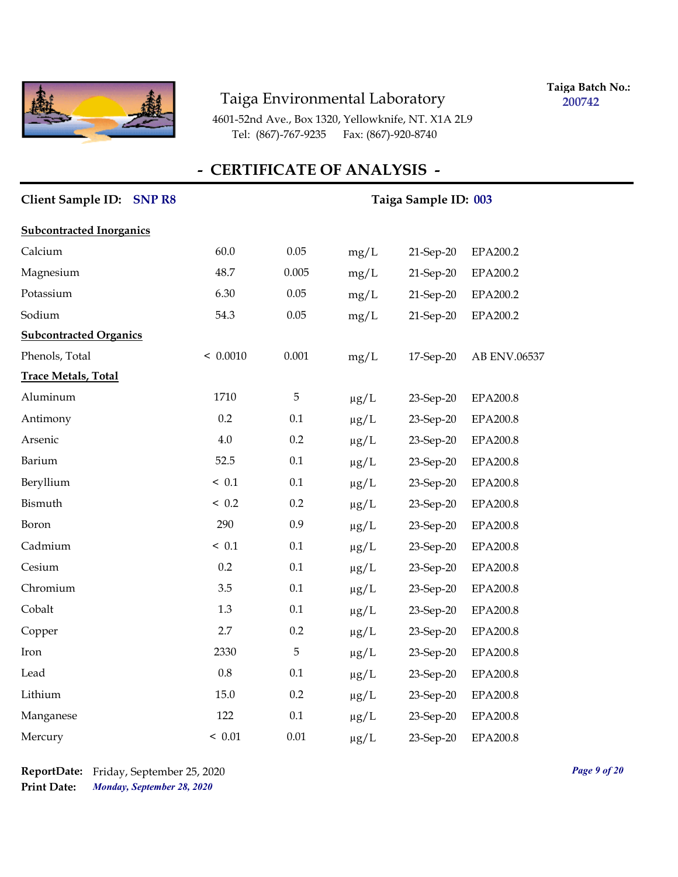

**Taiga Batch No.: 200742**

4601-52nd Ave., Box 1320, Yellowknife, NT. X1A 2L9 Tel: (867)-767-9235 Fax: (867)-920-8740

| Client Sample ID: SNP R8        | Taiga Sample ID: 003 |         |           |           |                 |
|---------------------------------|----------------------|---------|-----------|-----------|-----------------|
| <b>Subcontracted Inorganics</b> |                      |         |           |           |                 |
| Calcium                         | 60.0                 | 0.05    | mg/L      | 21-Sep-20 | EPA200.2        |
| Magnesium                       | 48.7                 | 0.005   | mg/L      | 21-Sep-20 | EPA200.2        |
| Potassium                       | 6.30                 | 0.05    | mg/L      | 21-Sep-20 | EPA200.2        |
| Sodium                          | 54.3                 | 0.05    | mg/L      | 21-Sep-20 | EPA200.2        |
| <b>Subcontracted Organics</b>   |                      |         |           |           |                 |
| Phenols, Total                  | < 0.0010             | 0.001   | mg/L      | 17-Sep-20 | AB ENV.06537    |
| <b>Trace Metals, Total</b>      |                      |         |           |           |                 |
| Aluminum                        | 1710                 | 5       | $\mu g/L$ | 23-Sep-20 | EPA200.8        |
| Antimony                        | 0.2                  | 0.1     | $\mu g/L$ | 23-Sep-20 | EPA200.8        |
| Arsenic                         | $4.0\,$              | 0.2     | $\mu g/L$ | 23-Sep-20 | EPA200.8        |
| Barium                          | 52.5                 | 0.1     | $\mu g/L$ | 23-Sep-20 | EPA200.8        |
| Beryllium                       | ~< 0.1               | 0.1     | $\mu g/L$ | 23-Sep-20 | EPA200.8        |
| Bismuth                         | ~< 0.2               | 0.2     | $\mu g/L$ | 23-Sep-20 | <b>EPA200.8</b> |
| Boron                           | 290                  | 0.9     | $\mu g/L$ | 23-Sep-20 | <b>EPA200.8</b> |
| Cadmium                         | < 0.1                | 0.1     | $\mu g/L$ | 23-Sep-20 | EPA200.8        |
| Cesium                          | 0.2                  | 0.1     | $\mu g/L$ | 23-Sep-20 | EPA200.8        |
| Chromium                        | 3.5                  | 0.1     | $\mu g/L$ | 23-Sep-20 | EPA200.8        |
| Cobalt                          | 1.3                  | $0.1\,$ | $\mu g/L$ | 23-Sep-20 | <b>EPA200.8</b> |
| Copper                          | 2.7                  | 0.2     | $\mu g/L$ | 23-Sep-20 | EPA200.8        |
| Iron                            | 2330                 | 5       | $\mu g/L$ | 23-Sep-20 | EPA200.8        |
| Lead                            | $0.8\,$              | 0.1     | $\mu g/L$ | 23-Sep-20 | <b>EPA200.8</b> |
| Lithium                         | 15.0                 | 0.2     | $\mu g/L$ | 23-Sep-20 | EPA200.8        |
| Manganese                       | 122                  | 0.1     | $\mu g/L$ | 23-Sep-20 | EPA200.8        |
| Mercury                         | < 0.01               | 0.01    | $\mu$ g/L | 23-Sep-20 | <b>EPA200.8</b> |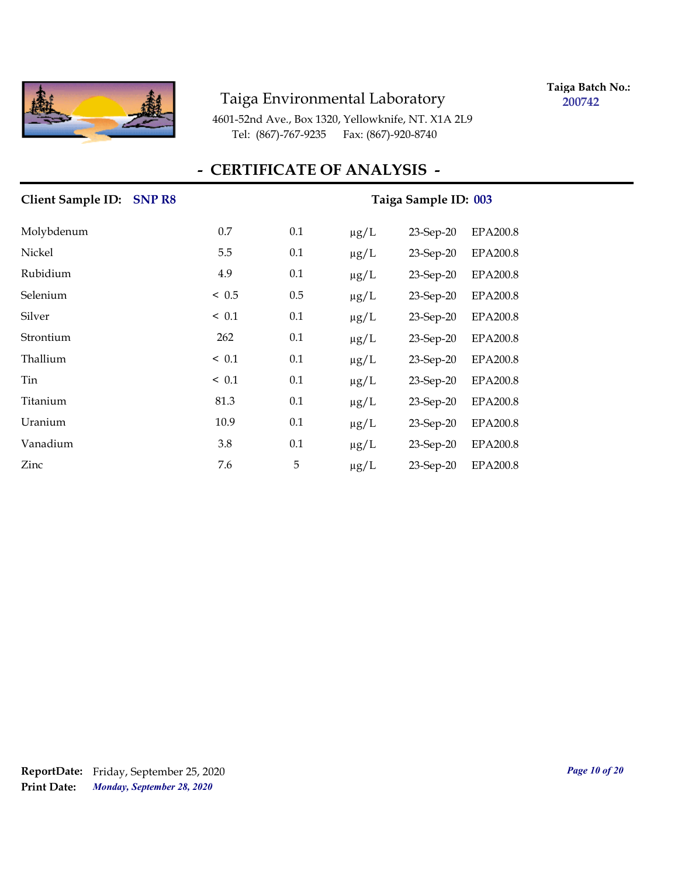

**Taiga Batch No.: 200742**

4601-52nd Ave., Box 1320, Yellowknife, NT. X1A 2L9 Tel: (867)-767-9235 Fax: (867)-920-8740

| Client Sample ID: SNP R8 |            | Taiga Sample ID: 003 |           |              |                 |  |
|--------------------------|------------|----------------------|-----------|--------------|-----------------|--|
| Molybdenum               | 0.7        | 0.1                  | $\mu g/L$ | 23-Sep-20    | <b>EPA200.8</b> |  |
| Nickel                   | 5.5        | 0.1                  | $\mu g/L$ | $23$ -Sep-20 | <b>EPA200.8</b> |  |
| Rubidium                 | 4.9        | 0.1                  | $\mu$ g/L | $23$ -Sep-20 | <b>EPA200.8</b> |  |
| Selenium                 | < 0.5      | 0.5                  | $\mu$ g/L | $23$ -Sep-20 | <b>EPA200.8</b> |  |
| Silver                   | < 0.1      | 0.1                  | $\mu$ g/L | 23-Sep-20    | <b>EPA200.8</b> |  |
| Strontium                | 262        | 0.1                  | $\mu$ g/L | $23$ -Sep-20 | EPA200.8        |  |
| Thallium                 | < 0.1      | 0.1                  | $\mu g/L$ | $23$ -Sep-20 | <b>EPA200.8</b> |  |
| Tin                      | $\leq 0.1$ | 0.1                  | $\mu g/L$ | $23$ -Sep-20 | <b>EPA200.8</b> |  |
| Titanium                 | 81.3       | 0.1                  | $\mu g/L$ | $23$ -Sep-20 | <b>EPA200.8</b> |  |
| Uranium                  | 10.9       | 0.1                  | $\mu$ g/L | $23$ -Sep-20 | <b>EPA200.8</b> |  |
| Vanadium                 | 3.8        | 0.1                  | $\mu$ g/L | $23$ -Sep-20 | <b>EPA200.8</b> |  |
| Zinc                     | 7.6        | 5                    | $\mu g/L$ | 23-Sep-20    | <b>EPA200.8</b> |  |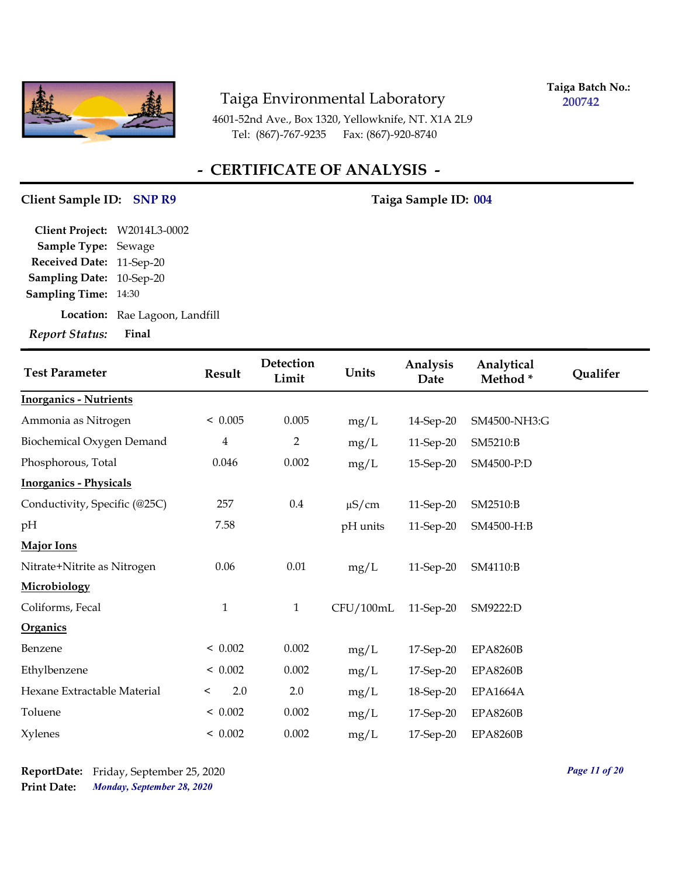

**Taiga Batch No.: 200742**

4601-52nd Ave., Box 1320, Yellowknife, NT. X1A 2L9 Tel: (867)-767-9235 Fax: (867)-920-8740

## **- CERTIFICATE OF ANALYSIS -**

#### Client Sample ID: SNP R9 Taiga Sample ID: 004

| Client Project: W2014L3-0002 |                                |
|------------------------------|--------------------------------|
| Sample Type: Sewage          |                                |
| Received Date: 11-Sep-20     |                                |
| Sampling Date: 10-Sep-20     |                                |
| <b>Sampling Time: 14:30</b>  |                                |
|                              | Location: Rae Lagoon, Landfill |
| Report Status: Final         |                                |

| <b>Test Parameter</b>         | <b>Result</b>           | Detection<br>Limit | Units      | Analysis<br>Date | Analytical<br>Method* | Qualifer |
|-------------------------------|-------------------------|--------------------|------------|------------------|-----------------------|----------|
| <b>Inorganics - Nutrients</b> |                         |                    |            |                  |                       |          |
| Ammonia as Nitrogen           | < 0.005                 | 0.005              | mg/L       | 14-Sep-20        | SM4500-NH3:G          |          |
| Biochemical Oxygen Demand     | $\overline{\mathbf{4}}$ | $\overline{2}$     | mg/L       | 11-Sep-20        | SM5210:B              |          |
| Phosphorous, Total            | 0.046                   | 0.002              | mg/L       | 15-Sep-20        | SM4500-P:D            |          |
| <b>Inorganics - Physicals</b> |                         |                    |            |                  |                       |          |
| Conductivity, Specific (@25C) | 257                     | $0.4\,$            | $\mu$ S/cm | 11-Sep-20        | SM2510:B              |          |
| pH                            | 7.58                    |                    | pH units   | 11-Sep-20        | SM4500-H:B            |          |
| <b>Major Ions</b>             |                         |                    |            |                  |                       |          |
| Nitrate+Nitrite as Nitrogen   | 0.06                    | 0.01               | mg/L       | 11-Sep-20        | SM4110:B              |          |
| Microbiology                  |                         |                    |            |                  |                       |          |
| Coliforms, Fecal              | $\mathbf{1}$            | $\mathbf{1}$       | CFU/100mL  | 11-Sep-20        | SM9222:D              |          |
| Organics                      |                         |                    |            |                  |                       |          |
| Benzene                       | < 0.002                 | 0.002              | mg/L       | 17-Sep-20        | <b>EPA8260B</b>       |          |
| Ethylbenzene                  | < 0.002                 | 0.002              | mg/L       | 17-Sep-20        | <b>EPA8260B</b>       |          |
| Hexane Extractable Material   | 2.0<br>$\,<\,$          | 2.0                | mg/L       | 18-Sep-20        | <b>EPA1664A</b>       |          |
| Toluene                       | < 0.002                 | 0.002              | mg/L       | 17-Sep-20        | <b>EPA8260B</b>       |          |
| <b>Xylenes</b>                | < 0.002                 | 0.002              | mg/L       | 17-Sep-20        | <b>EPA8260B</b>       |          |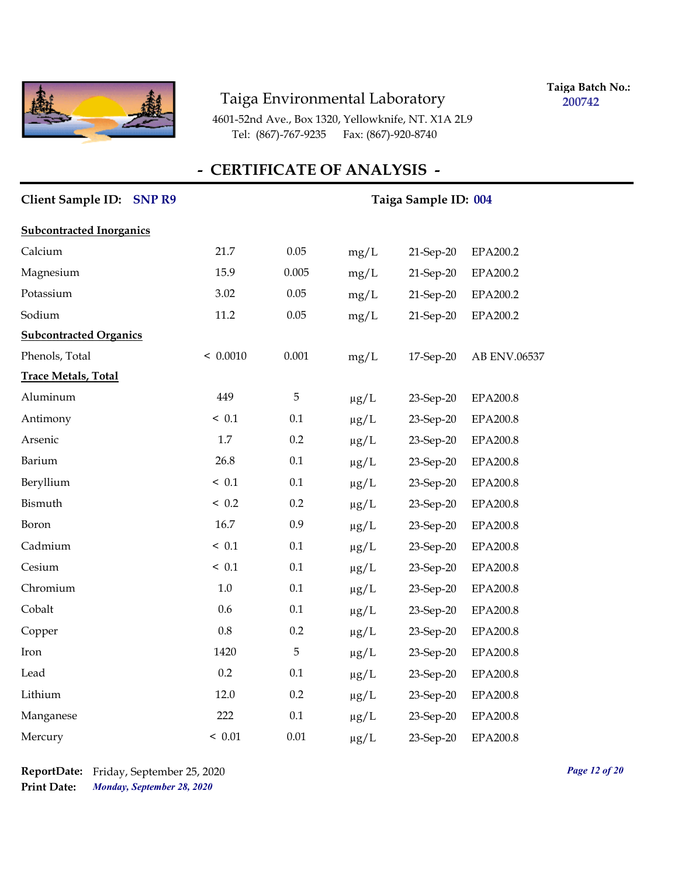

**Taiga Batch No.: 200742**

4601-52nd Ave., Box 1320, Yellowknife, NT. X1A 2L9 Tel: (867)-767-9235 Fax: (867)-920-8740

| Client Sample ID: SNP R9        |          | Taiga Sample ID: 004 |           |           |                 |
|---------------------------------|----------|----------------------|-----------|-----------|-----------------|
| <b>Subcontracted Inorganics</b> |          |                      |           |           |                 |
| Calcium                         | 21.7     | 0.05                 | mg/L      | 21-Sep-20 | EPA200.2        |
| Magnesium                       | 15.9     | 0.005                | mg/L      | 21-Sep-20 | EPA200.2        |
| Potassium                       | 3.02     | 0.05                 | mg/L      | 21-Sep-20 | EPA200.2        |
| Sodium                          | 11.2     | 0.05                 | mg/L      | 21-Sep-20 | EPA200.2        |
| <b>Subcontracted Organics</b>   |          |                      |           |           |                 |
| Phenols, Total                  | < 0.0010 | 0.001                | mg/L      | 17-Sep-20 | AB ENV.06537    |
| <b>Trace Metals, Total</b>      |          |                      |           |           |                 |
| Aluminum                        | 449      | 5                    | $\mu g/L$ | 23-Sep-20 | EPA200.8        |
| Antimony                        | < 0.1    | 0.1                  | $\mu g/L$ | 23-Sep-20 | EPA200.8        |
| Arsenic                         | 1.7      | 0.2                  | $\mu g/L$ | 23-Sep-20 | EPA200.8        |
| Barium                          | 26.8     | 0.1                  | $\mu g/L$ | 23-Sep-20 | EPA200.8        |
| Beryllium                       | ~< 0.1   | $0.1\,$              | $\mu g/L$ | 23-Sep-20 | <b>EPA200.8</b> |
| Bismuth                         | < 0.2    | 0.2                  | $\mu g/L$ | 23-Sep-20 | EPA200.8        |
| Boron                           | 16.7     | 0.9                  | $\mu g/L$ | 23-Sep-20 | EPA200.8        |
| Cadmium                         | < 0.1    | 0.1                  | $\mu g/L$ | 23-Sep-20 | EPA200.8        |
| Cesium                          | < 0.1    | 0.1                  | $\mu g/L$ | 23-Sep-20 | EPA200.8        |
| Chromium                        | $1.0\,$  | 0.1                  | $\mu g/L$ | 23-Sep-20 | EPA200.8        |
| Cobalt                          | 0.6      | 0.1                  | $\mu g/L$ | 23-Sep-20 | EPA200.8        |
| Copper                          | 0.8      | 0.2                  | $\mu g/L$ | 23-Sep-20 | EPA200.8        |
| Iron                            | 1420     | 5                    | $\mu g/L$ | 23-Sep-20 | EPA200.8        |
| Lead                            | 0.2      | 0.1                  | $\mu$ g/L | 23-Sep-20 | EPA200.8        |
| Lithium                         | 12.0     | 0.2                  | $\mu g/L$ | 23-Sep-20 | EPA200.8        |
| Manganese                       | 222      | 0.1                  | $\mu g/L$ | 23-Sep-20 | EPA200.8        |
| Mercury                         | < 0.01   | 0.01                 | $\mu$ g/L | 23-Sep-20 | EPA200.8        |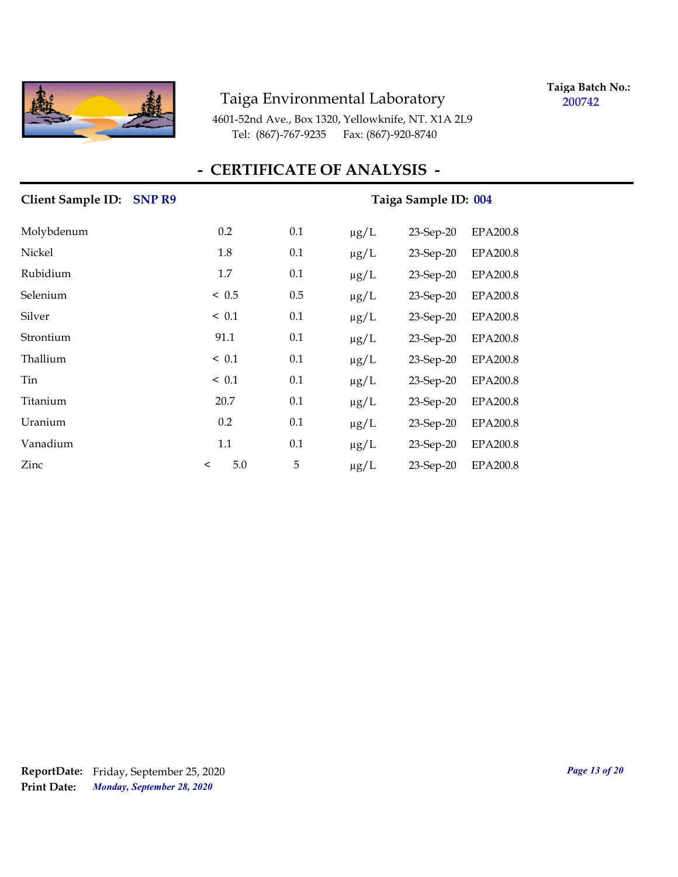

**Taiga Batch No.: 200742**

4601-52nd Ave., Box 1320, Yellowknife, NT. X1A 2L9 Tel: (867)-767-9235 Fax: (867)-920-8740

| Client Sample ID: SNP R9 |                |     |           | Taiga Sample ID: 004 |                 |
|--------------------------|----------------|-----|-----------|----------------------|-----------------|
| Molybdenum               | 0.2            | 0.1 | $\mu g/L$ | 23-Sep-20            | <b>EPA200.8</b> |
| Nickel                   | 1.8            | 0.1 | $\mu g/L$ | $23$ -Sep-20         | <b>EPA200.8</b> |
| Rubidium                 | 1.7            | 0.1 | $\mu$ g/L | 23-Sep-20            | <b>EPA200.8</b> |
| Selenium                 | < 0.5          | 0.5 | $\mu$ g/L | $23$ -Sep-20         | <b>EPA200.8</b> |
| Silver                   | $\leq 0.1$     | 0.1 | $\mu g/L$ | $23$ -Sep-20         | <b>EPA200.8</b> |
| Strontium                | 91.1           | 0.1 | $\mu g/L$ | $23$ -Sep-20         | EPA200.8        |
| Thallium                 | ~< 0.1         | 0.1 | $\mu$ g/L | $23$ -Sep-20         | <b>EPA200.8</b> |
| Tin                      | < 0.1          | 0.1 | $\mu$ g/L | $23$ -Sep-20         | <b>EPA200.8</b> |
| Titanium                 | 20.7           | 0.1 | $\mu g/L$ | $23$ -Sep-20         | <b>EPA200.8</b> |
| Uranium                  | 0.2            | 0.1 | $\mu g/L$ | 23-Sep-20            | <b>EPA200.8</b> |
| Vanadium                 | 1.1            | 0.1 | $\mu g/L$ | 23-Sep-20            | EPA200.8        |
| Zinc                     | 5.0<br>$\,<\,$ | 5   | $\mu g/L$ | 23-Sep-20            | <b>EPA200.8</b> |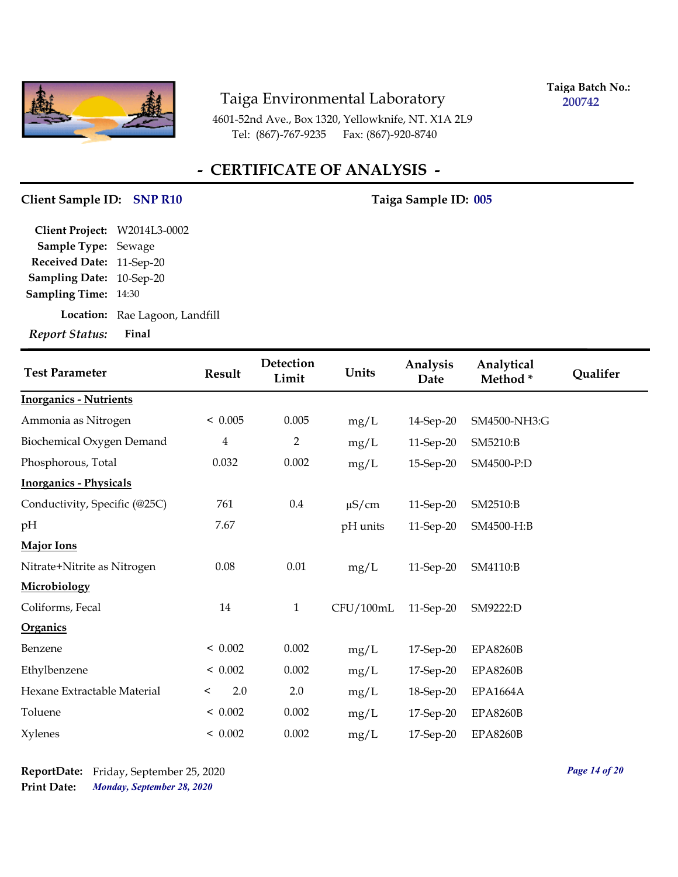

**Taiga Batch No.: 200742**

4601-52nd Ave., Box 1320, Yellowknife, NT. X1A 2L9 Tel: (867)-767-9235 Fax: (867)-920-8740

## **- CERTIFICATE OF ANALYSIS -**

# **Client Sample ID: Taiga Sample ID: SNP R10 005**

| Report Status: Final         |                                |
|------------------------------|--------------------------------|
|                              | Location: Rae Lagoon, Landfill |
| <b>Sampling Time: 14:30</b>  |                                |
| Sampling Date: 10-Sep-20     |                                |
| Received Date: 11-Sep-20     |                                |
| <b>Sample Type: Sewage</b>   |                                |
| Client Project: W2014L3-0002 |                                |

| <b>Test Parameter</b>         | <b>Result</b>           | Detection<br>Limit | Units      | Analysis<br>Date | Analytical<br>Method* | Qualifer |
|-------------------------------|-------------------------|--------------------|------------|------------------|-----------------------|----------|
| <b>Inorganics - Nutrients</b> |                         |                    |            |                  |                       |          |
| Ammonia as Nitrogen           | < 0.005                 | 0.005              | mg/L       | 14-Sep-20        | SM4500-NH3:G          |          |
| Biochemical Oxygen Demand     | $\overline{\mathbf{4}}$ | $\overline{2}$     | mg/L       | 11-Sep-20        | SM5210:B              |          |
| Phosphorous, Total            | 0.032                   | 0.002              | mg/L       | 15-Sep-20        | SM4500-P:D            |          |
| <b>Inorganics - Physicals</b> |                         |                    |            |                  |                       |          |
| Conductivity, Specific (@25C) | 761                     | $0.4\,$            | $\mu$ S/cm | 11-Sep-20        | SM2510:B              |          |
| pН                            | 7.67                    |                    | pH units   | 11-Sep-20        | SM4500-H:B            |          |
| <b>Major Ions</b>             |                         |                    |            |                  |                       |          |
| Nitrate+Nitrite as Nitrogen   | 0.08                    | $0.01\,$           | mg/L       | 11-Sep-20        | SM4110:B              |          |
| Microbiology                  |                         |                    |            |                  |                       |          |
| Coliforms, Fecal              | 14                      | $\mathbf{1}$       | CFU/100mL  | 11-Sep-20        | SM9222:D              |          |
| Organics                      |                         |                    |            |                  |                       |          |
| Benzene                       | < 0.002                 | 0.002              | mg/L       | 17-Sep-20        | <b>EPA8260B</b>       |          |
| Ethylbenzene                  | < 0.002                 | 0.002              | mg/L       | 17-Sep-20        | <b>EPA8260B</b>       |          |
| Hexane Extractable Material   | 2.0<br>$\,<\,$          | 2.0                | mg/L       | 18-Sep-20        | <b>EPA1664A</b>       |          |
| Toluene                       | < 0.002                 | 0.002              | mg/L       | 17-Sep-20        | <b>EPA8260B</b>       |          |
| <b>Xylenes</b>                | < 0.002                 | 0.002              | mg/L       | 17-Sep-20        | <b>EPA8260B</b>       |          |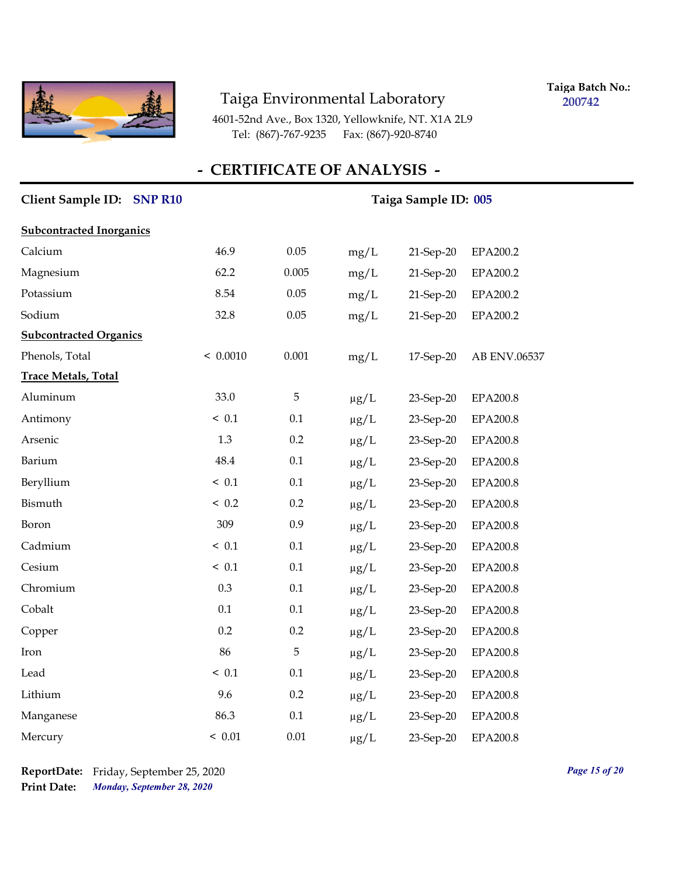

**Taiga Batch No.: 200742**

4601-52nd Ave., Box 1320, Yellowknife, NT. X1A 2L9 Tel: (867)-767-9235 Fax: (867)-920-8740

| Client Sample ID: SNP R10       |          |         |           | Taiga Sample ID: 005 |                 |
|---------------------------------|----------|---------|-----------|----------------------|-----------------|
| <b>Subcontracted Inorganics</b> |          |         |           |                      |                 |
| Calcium                         | 46.9     | 0.05    | mg/L      | 21-Sep-20            | EPA200.2        |
| Magnesium                       | 62.2     | 0.005   | mg/L      | 21-Sep-20            | EPA200.2        |
| Potassium                       | 8.54     | 0.05    | mg/L      | 21-Sep-20            | EPA200.2        |
| Sodium                          | 32.8     | 0.05    | mg/L      | 21-Sep-20            | EPA200.2        |
| <b>Subcontracted Organics</b>   |          |         |           |                      |                 |
| Phenols, Total                  | < 0.0010 | 0.001   | mg/L      | 17-Sep-20            | AB ENV.06537    |
| <b>Trace Metals, Total</b>      |          |         |           |                      |                 |
| Aluminum                        | 33.0     | 5       | $\mu g/L$ | 23-Sep-20            | EPA200.8        |
| Antimony                        | < 0.1    | 0.1     | $\mu g/L$ | 23-Sep-20            | EPA200.8        |
| Arsenic                         | 1.3      | 0.2     | $\mu g/L$ | 23-Sep-20            | <b>EPA200.8</b> |
| Barium                          | 48.4     | 0.1     | $\mu g/L$ | 23-Sep-20            | EPA200.8        |
| Beryllium                       | < 0.1    | 0.1     | $\mu g/L$ | 23-Sep-20            | <b>EPA200.8</b> |
| Bismuth                         | < 0.2    | 0.2     | $\mu g/L$ | 23-Sep-20            | <b>EPA200.8</b> |
| Boron                           | 309      | 0.9     | $\mu g/L$ | 23-Sep-20            | EPA200.8        |
| Cadmium                         | ~< 0.1   | 0.1     | $\mu g/L$ | 23-Sep-20            | <b>EPA200.8</b> |
| Cesium                          | < 0.1    | $0.1\,$ | $\mu g/L$ | 23-Sep-20            | <b>EPA200.8</b> |
| Chromium                        | 0.3      | 0.1     | $\mu g/L$ | 23-Sep-20            | <b>EPA200.8</b> |
| Cobalt                          | 0.1      | 0.1     | $\mu$ g/L | 23-Sep-20            | EPA200.8        |
| Copper                          | 0.2      | 0.2     | $\mu g/L$ | 23-Sep-20            | <b>EPA200.8</b> |
| Iron                            | 86       | 5       | $\mu g/L$ | 23-Sep-20            | <b>EPA200.8</b> |
| Lead                            | < 0.1    | 0.1     | $\mu g/L$ | 23-Sep-20            | <b>EPA200.8</b> |
| Lithium                         | 9.6      | 0.2     | $\mu g/L$ | 23-Sep-20            | <b>EPA200.8</b> |
| Manganese                       | 86.3     | 0.1     | $\mu g/L$ | 23-Sep-20            | EPA200.8        |
| Mercury                         | < 0.01   | 0.01    | $\mu$ g/L | 23-Sep-20            | <b>EPA200.8</b> |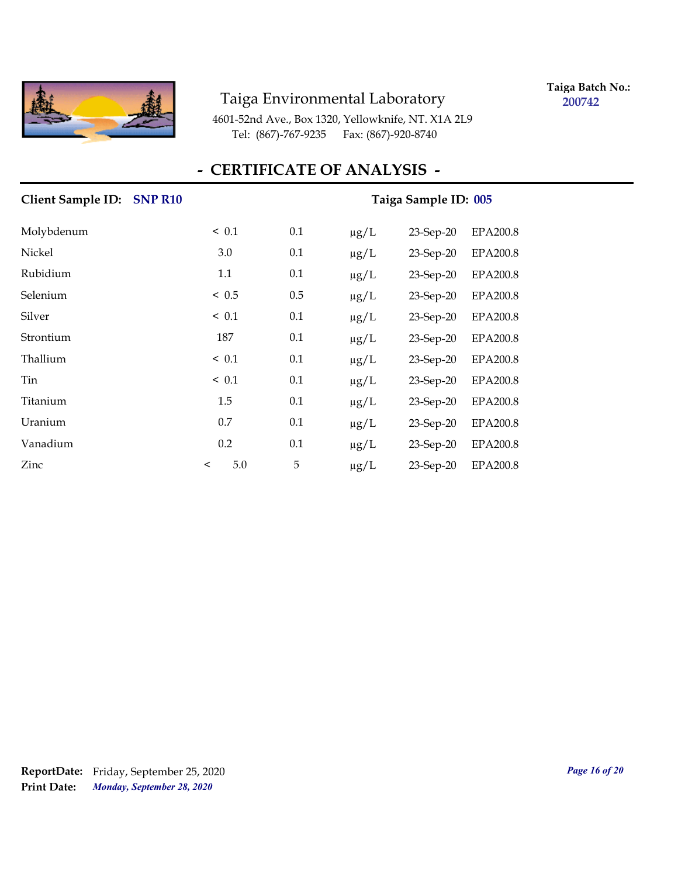

**Taiga Batch No.: 200742**

4601-52nd Ave., Box 1320, Yellowknife, NT. X1A 2L9 Tel: (867)-767-9235 Fax: (867)-920-8740

| Client Sample ID: SNP R10 |         |            |     |           | Taiga Sample ID: 005 |                 |
|---------------------------|---------|------------|-----|-----------|----------------------|-----------------|
| Molybdenum                |         | ~< 0.1     | 0.1 | $\mu g/L$ | $23$ -Sep-20         | EPA200.8        |
| Nickel                    |         | 3.0        | 0.1 | $\mu$ g/L | $23$ -Sep-20         | EPA200.8        |
| Rubidium                  |         | 1.1        | 0.1 | $\mu g/L$ | 23-Sep-20            | <b>EPA200.8</b> |
| Selenium                  |         | < 0.5      | 0.5 | $\mu g/L$ | $23$ -Sep-20         | <b>EPA200.8</b> |
| Silver                    |         | $\leq 0.1$ | 0.1 | $\mu g/L$ | $23$ -Sep-20         | <b>EPA200.8</b> |
| Strontium                 |         | 187        | 0.1 | $\mu g/L$ | $23$ -Sep-20         | <b>EPA200.8</b> |
| Thallium                  |         | ~< 0.1     | 0.1 | $\mu g/L$ | $23$ -Sep-20         | <b>EPA200.8</b> |
| Tin                       |         | $\leq 0.1$ | 0.1 | $\mu g/L$ | $23$ -Sep-20         | <b>EPA200.8</b> |
| Titanium                  |         | 1.5        | 0.1 | $\mu$ g/L | $23$ -Sep-20         | <b>EPA200.8</b> |
| Uranium                   |         | 0.7        | 0.1 | $\mu g/L$ | 23-Sep-20            | <b>EPA200.8</b> |
| Vanadium                  |         | 0.2        | 0.1 | $\mu g/L$ | 23-Sep-20            | <b>EPA200.8</b> |
| Zinc                      | $\,<\,$ | 5.0        | 5   | $\mu g/L$ | $23$ -Sep-20         | <b>EPA200.8</b> |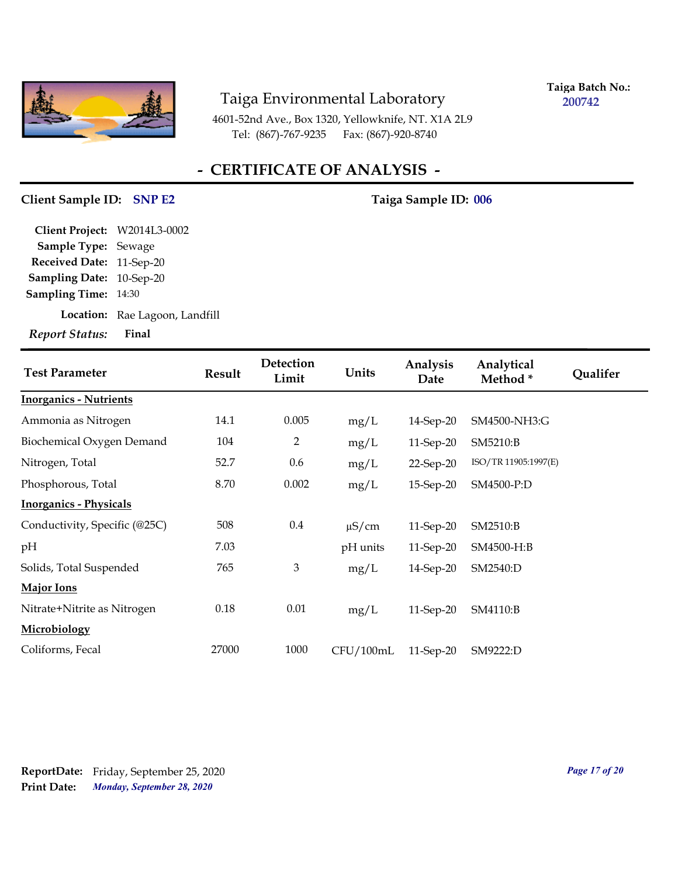

**Taiga Batch No.: 200742**

4601-52nd Ave., Box 1320, Yellowknife, NT. X1A 2L9 Tel: (867)-767-9235 Fax: (867)-920-8740

## **- CERTIFICATE OF ANALYSIS -**

#### **Client Sample ID:** SNP E2 Taiga Sample ID: 006

| Client Project: W2014L3-0002 |                                |
|------------------------------|--------------------------------|
| <b>Sample Type: Sewage</b>   |                                |
| Received Date: 11-Sep-20     |                                |
| Sampling Date: 10-Sep-20     |                                |
| <b>Sampling Time: 14:30</b>  |                                |
|                              | Location: Rae Lagoon, Landfill |
| Report Status: Final         |                                |

| <b>Test Parameter</b>         | <b>Result</b> | Detection<br>Limit | Units      | Analysis<br>Date | Analytical<br>Method* | Qualifer |
|-------------------------------|---------------|--------------------|------------|------------------|-----------------------|----------|
| <b>Inorganics - Nutrients</b> |               |                    |            |                  |                       |          |
| Ammonia as Nitrogen           | 14.1          | 0.005              | mg/L       | 14-Sep-20        | SM4500-NH3:G          |          |
| Biochemical Oxygen Demand     | 104           | 2                  | mg/L       | 11-Sep-20        | SM5210:B              |          |
| Nitrogen, Total               | 52.7          | 0.6                | mg/L       | $22$ -Sep-20     | ISO/TR 11905:1997(E)  |          |
| Phosphorous, Total            | 8.70          | 0.002              | mg/L       | 15-Sep-20        | SM4500-P:D            |          |
| <b>Inorganics - Physicals</b> |               |                    |            |                  |                       |          |
| Conductivity, Specific (@25C) | 508           | $0.4\,$            | $\mu$ S/cm | 11-Sep-20        | SM2510:B              |          |
| pH                            | 7.03          |                    | pH units   | 11-Sep-20        | SM4500-H:B            |          |
| Solids, Total Suspended       | 765           | $\mathfrak{Z}$     | mg/L       | 14-Sep-20        | SM2540:D              |          |
| <b>Major Ions</b>             |               |                    |            |                  |                       |          |
| Nitrate+Nitrite as Nitrogen   | 0.18          | 0.01               | mg/L       | 11-Sep-20        | SM4110:B              |          |
| Microbiology                  |               |                    |            |                  |                       |          |
| Coliforms, Fecal              | 27000         | 1000               | CFU/100mL  | 11-Sep-20        | SM9222:D              |          |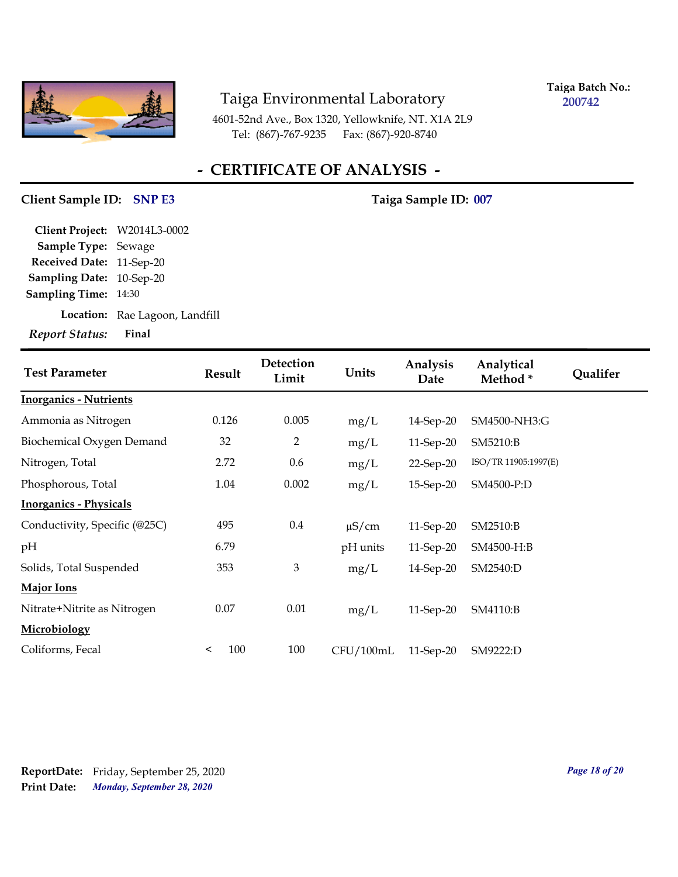

**Taiga Batch No.: 200742**

4601-52nd Ave., Box 1320, Yellowknife, NT. X1A 2L9 Tel: (867)-767-9235 Fax: (867)-920-8740

## **- CERTIFICATE OF ANALYSIS -**

#### Client Sample ID: SNP E3 Taiga Sample ID: 007

| Report Status: Final         |                                |
|------------------------------|--------------------------------|
|                              | Location: Rae Lagoon, Landfill |
| <b>Sampling Time: 14:30</b>  |                                |
| Sampling Date: 10-Sep-20     |                                |
| Received Date: 11-Sep-20     |                                |
| Sample Type: Sewage          |                                |
| Client Project: W2014L3-0002 |                                |

| <b>Test Parameter</b>         | <b>Result</b>  | Detection<br>Limit | Units      | Analysis<br>Date | Analytical<br>Method* | Qualifer |
|-------------------------------|----------------|--------------------|------------|------------------|-----------------------|----------|
| <b>Inorganics - Nutrients</b> |                |                    |            |                  |                       |          |
| Ammonia as Nitrogen           | 0.126          | 0.005              | mg/L       | 14-Sep-20        | SM4500-NH3:G          |          |
| Biochemical Oxygen Demand     | 32             | 2                  | mg/L       | 11-Sep-20        | SM5210:B              |          |
| Nitrogen, Total               | 2.72           | 0.6                | mg/L       | 22-Sep-20        | ISO/TR 11905:1997(E)  |          |
| Phosphorous, Total            | 1.04           | 0.002              | mg/L       | 15-Sep-20        | SM4500-P:D            |          |
| <b>Inorganics - Physicals</b> |                |                    |            |                  |                       |          |
| Conductivity, Specific (@25C) | 495            | $0.4\,$            | $\mu$ S/cm | 11-Sep-20        | SM2510:B              |          |
| pH                            | 6.79           |                    | pH units   | 11-Sep-20        | SM4500-H:B            |          |
| Solids, Total Suspended       | 353            | $\mathfrak{Z}$     | mg/L       | 14-Sep-20        | SM2540:D              |          |
| <b>Major Ions</b>             |                |                    |            |                  |                       |          |
| Nitrate+Nitrite as Nitrogen   | 0.07           | 0.01               | mg/L       | 11-Sep-20        | SM4110:B              |          |
| <b>Microbiology</b>           |                |                    |            |                  |                       |          |
| Coliforms, Fecal              | 100<br>$\,<\,$ | 100                | CFU/100mL  | 11-Sep-20        | SM9222:D              |          |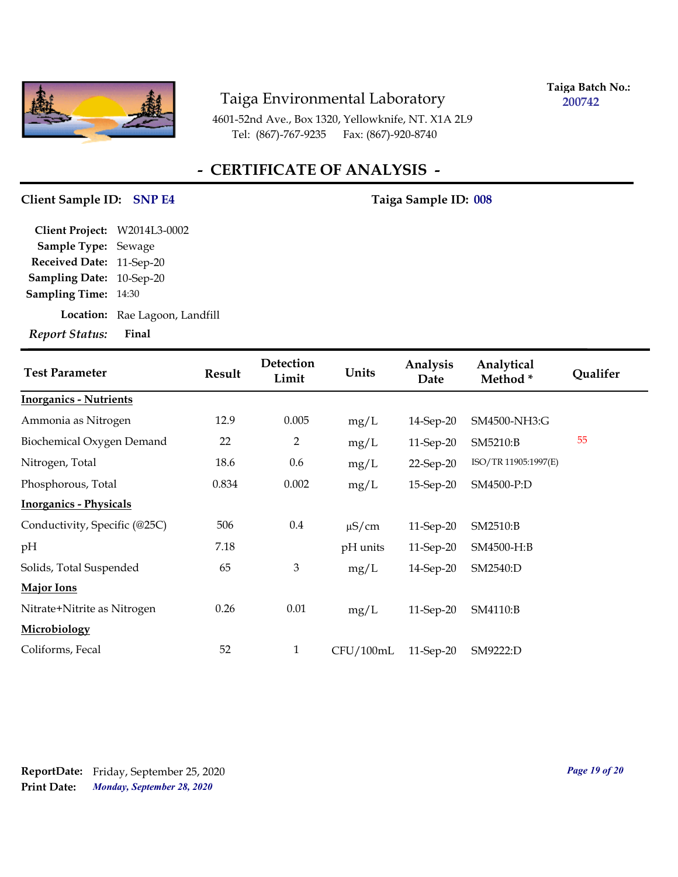

**Taiga Batch No.: 200742**

4601-52nd Ave., Box 1320, Yellowknife, NT. X1A 2L9 Tel: (867)-767-9235 Fax: (867)-920-8740

## **- CERTIFICATE OF ANALYSIS -**

#### Client Sample ID: SNP E4 Taiga Sample ID: 008

| Client Project: W2014L3-0002    |                                |
|---------------------------------|--------------------------------|
| <b>Sample Type: Sewage</b>      |                                |
| Received Date: 11-Sep-20        |                                |
| <b>Sampling Date: 10-Sep-20</b> |                                |
| <b>Sampling Time: 14:30</b>     |                                |
|                                 | Location: Rae Lagoon, Landfill |
| Report Status: Final            |                                |

| <b>Test Parameter</b>         | <b>Result</b> | Detection<br>Limit | Units      | Analysis<br>Date | Analytical<br>Method* | Qualifer |
|-------------------------------|---------------|--------------------|------------|------------------|-----------------------|----------|
| <b>Inorganics - Nutrients</b> |               |                    |            |                  |                       |          |
| Ammonia as Nitrogen           | 12.9          | 0.005              | mg/L       | 14-Sep-20        | SM4500-NH3:G          |          |
| Biochemical Oxygen Demand     | 22            | 2                  | mg/L       | 11-Sep-20        | SM5210:B              | 55       |
| Nitrogen, Total               | 18.6          | 0.6                | mg/L       | 22-Sep-20        | ISO/TR 11905:1997(E)  |          |
| Phosphorous, Total            | 0.834         | 0.002              | mg/L       | 15-Sep-20        | SM4500-P:D            |          |
| <b>Inorganics - Physicals</b> |               |                    |            |                  |                       |          |
| Conductivity, Specific (@25C) | 506           | 0.4                | $\mu$ S/cm | $11$ -Sep-20     | SM2510:B              |          |
| pH                            | 7.18          |                    | pH units   | 11-Sep-20        | SM4500-H:B            |          |
| Solids, Total Suspended       | 65            | $\mathfrak{Z}$     | mg/L       | 14-Sep-20        | SM2540:D              |          |
| <b>Major Ions</b>             |               |                    |            |                  |                       |          |
| Nitrate+Nitrite as Nitrogen   | 0.26          | 0.01               | mg/L       | 11-Sep-20        | SM4110:B              |          |
| Microbiology                  |               |                    |            |                  |                       |          |
| Coliforms, Fecal              | 52            | 1                  | CFU/100mL  | 11-Sep-20        | SM9222:D              |          |